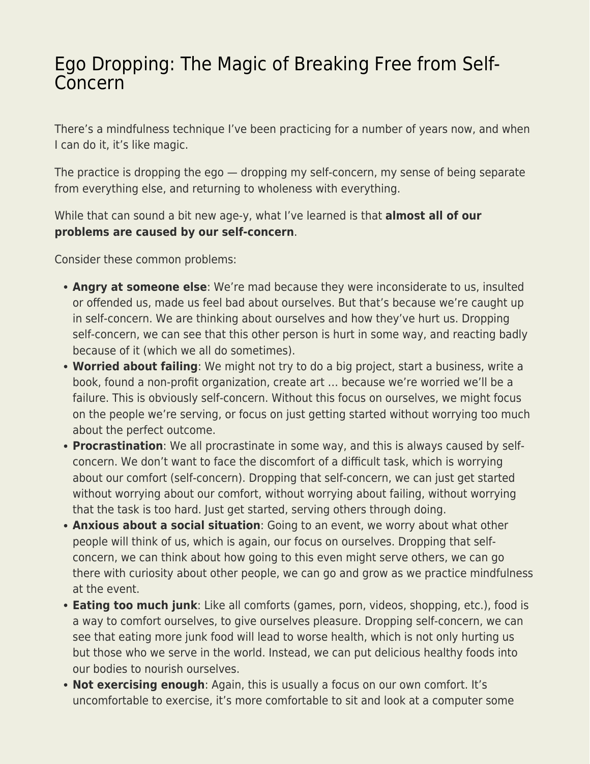## [Ego Dropping: The Magic of Breaking Free from Self-](https://everything-voluntary.com/ego-dropping-the-magic-of-breaking-free-from-self-concern)[Concern](https://everything-voluntary.com/ego-dropping-the-magic-of-breaking-free-from-self-concern)

There's a mindfulness technique I've been practicing for a number of years now, and when I can do it, it's like magic.

The practice is dropping the ego — dropping my self-concern, my sense of being separate from everything else, and returning to wholeness with everything.

While that can sound a bit new age-y, what I've learned is that **almost all of our problems are caused by our self-concern**.

Consider these common problems:

- **Angry at someone else**: We're mad because they were inconsiderate to us, insulted or offended us, made us feel bad about ourselves. But that's because we're caught up in self-concern. We are thinking about ourselves and how they've hurt us. Dropping self-concern, we can see that this other person is hurt in some way, and reacting badly because of it (which we all do sometimes).
- **Worried about failing**: We might not try to do a big project, start a business, write a book, found a non-profit organization, create art … because we're worried we'll be a failure. This is obviously self-concern. Without this focus on ourselves, we might focus on the people we're serving, or focus on just getting started without worrying too much about the perfect outcome.
- **Procrastination**: We all procrastinate in some way, and this is always caused by selfconcern. We don't want to face the discomfort of a difficult task, which is worrying about our comfort (self-concern). Dropping that self-concern, we can just get started without worrying about our comfort, without worrying about failing, without worrying that the task is too hard. Just get started, serving others through doing.
- **Anxious about a social situation**: Going to an event, we worry about what other people will think of us, which is again, our focus on ourselves. Dropping that selfconcern, we can think about how going to this even might serve others, we can go there with curiosity about other people, we can go and grow as we practice mindfulness at the event.
- **Eating too much junk**: Like all comforts (games, porn, videos, shopping, etc.), food is a way to comfort ourselves, to give ourselves pleasure. Dropping self-concern, we can see that eating more junk food will lead to worse health, which is not only hurting us but those who we serve in the world. Instead, we can put delicious healthy foods into our bodies to nourish ourselves.
- **Not exercising enough**: Again, this is usually a focus on our own comfort. It's uncomfortable to exercise, it's more comfortable to sit and look at a computer some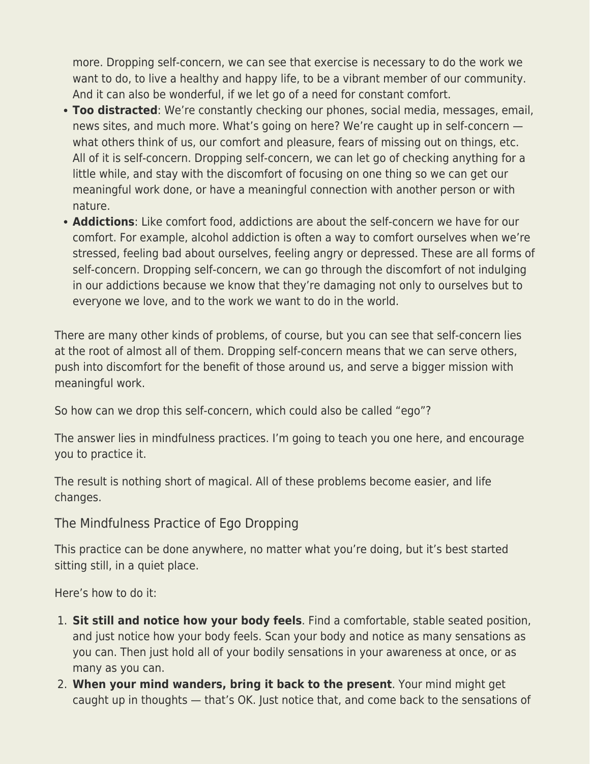more. Dropping self-concern, we can see that exercise is necessary to do the work we want to do, to live a healthy and happy life, to be a vibrant member of our community. And it can also be wonderful, if we let go of a need for constant comfort.

- **Too distracted**: We're constantly checking our phones, social media, messages, email, news sites, and much more. What's going on here? We're caught up in self-concern what others think of us, our comfort and pleasure, fears of missing out on things, etc. All of it is self-concern. Dropping self-concern, we can let go of checking anything for a little while, and stay with the discomfort of focusing on one thing so we can get our meaningful work done, or have a meaningful connection with another person or with nature.
- **Addictions**: Like comfort food, addictions are about the self-concern we have for our comfort. For example, alcohol addiction is often a way to comfort ourselves when we're stressed, feeling bad about ourselves, feeling angry or depressed. These are all forms of self-concern. Dropping self-concern, we can go through the discomfort of not indulging in our addictions because we know that they're damaging not only to ourselves but to everyone we love, and to the work we want to do in the world.

There are many other kinds of problems, of course, but you can see that self-concern lies at the root of almost all of them. Dropping self-concern means that we can serve others, push into discomfort for the benefit of those around us, and serve a bigger mission with meaningful work.

So how can we drop this self-concern, which could also be called "ego"?

The answer lies in mindfulness practices. I'm going to teach you one here, and encourage you to practice it.

The result is nothing short of magical. All of these problems become easier, and life changes.

The Mindfulness Practice of Ego Dropping

This practice can be done anywhere, no matter what you're doing, but it's best started sitting still, in a quiet place.

Here's how to do it:

- 1. **Sit still and notice how your body feels**. Find a comfortable, stable seated position, and just notice how your body feels. Scan your body and notice as many sensations as you can. Then just hold all of your bodily sensations in your awareness at once, or as many as you can.
- 2. **When your mind wanders, bring it back to the present**. Your mind might get caught up in thoughts — that's OK. Just notice that, and come back to the sensations of